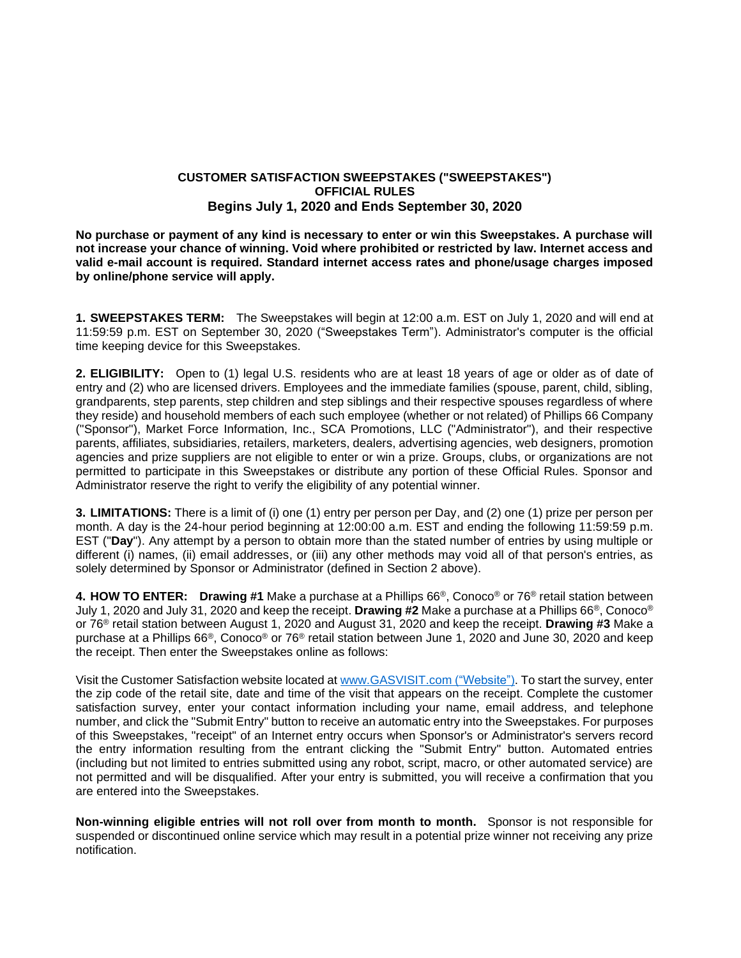## **CUSTOMER SATISFACTION SWEEPSTAKES ("SWEEPSTAKES") OFFICIAL RULES Begins July 1, 2020 and Ends September 30, 2020**

**No purchase or payment of any kind is necessary to enter or win this Sweepstakes. A purchase will not increase your chance of winning. Void where prohibited or restricted by law. Internet access and valid e-mail account is required. Standard internet access rates and phone/usage charges imposed by online/phone service will apply.** 

**1. SWEEPSTAKES TERM:** The Sweepstakes will begin at 12:00 a.m. EST on July 1, 2020 and will end at 11:59:59 p.m. EST on September 30, 2020 ("Sweepstakes Term"). Administrator's computer is the official time keeping device for this Sweepstakes.

**2. ELIGIBILITY:** Open to (1) legal U.S. residents who are at least 18 years of age or older as of date of entry and (2) who are licensed drivers. Employees and the immediate families (spouse, parent, child, sibling, grandparents, step parents, step children and step siblings and their respective spouses regardless of where they reside) and household members of each such employee (whether or not related) of Phillips 66 Company ("Sponsor"), Market Force Information, Inc., SCA Promotions, LLC ("Administrator"), and their respective parents, affiliates, subsidiaries, retailers, marketers, dealers, advertising agencies, web designers, promotion agencies and prize suppliers are not eligible to enter or win a prize. Groups, clubs, or organizations are not permitted to participate in this Sweepstakes or distribute any portion of these Official Rules. Sponsor and Administrator reserve the right to verify the eligibility of any potential winner.

**3. LIMITATIONS:** There is a limit of (i) one (1) entry per person per Day, and (2) one (1) prize per person per month. A day is the 24-hour period beginning at 12:00:00 a.m. EST and ending the following 11:59:59 p.m. EST ("**Day**"). Any attempt by a person to obtain more than the stated number of entries by using multiple or different (i) names, (ii) email addresses, or (iii) any other methods may void all of that person's entries, as solely determined by Sponsor or Administrator (defined in Section 2 above).

**4. HOW TO ENTER: Drawing #1** Make a purchase at a Phillips 66®, Conoco® or 76® retail station between July 1, 2020 and July 31, 2020 and keep the receipt. **Drawing #2** Make a purchase at a Phillips 66®, Conoco® or 76® retail station between August 1, 2020 and August 31, 2020 and keep the receipt. **Drawing #3** Make a purchase at a Phillips 66®, Conoco® or 76® retail station between June 1, 2020 and June 30, 2020 and keep the receipt. Then enter the Sweepstakes online as follows:

Visit the Customer Satisfaction website located at [www.GASVISIT.com](http://www.gasvisit.com/) ("Website"). To start the survey, enter the zip code of the retail site, date and time of the visit that appears on the receipt. Complete the customer satisfaction survey, enter your contact information including your name, email address, and telephone number, and click the "Submit Entry" button to receive an automatic entry into the Sweepstakes. For purposes of this Sweepstakes, "receipt" of an Internet entry occurs when Sponsor's or Administrator's servers record the entry information resulting from the entrant clicking the "Submit Entry" button. Automated entries (including but not limited to entries submitted using any robot, script, macro, or other automated service) are not permitted and will be disqualified. After your entry is submitted, you will receive a confirmation that you are entered into the Sweepstakes.

**Non-winning eligible entries will not roll over from month to month.** Sponsor is not responsible for suspended or discontinued online service which may result in a potential prize winner not receiving any prize notification.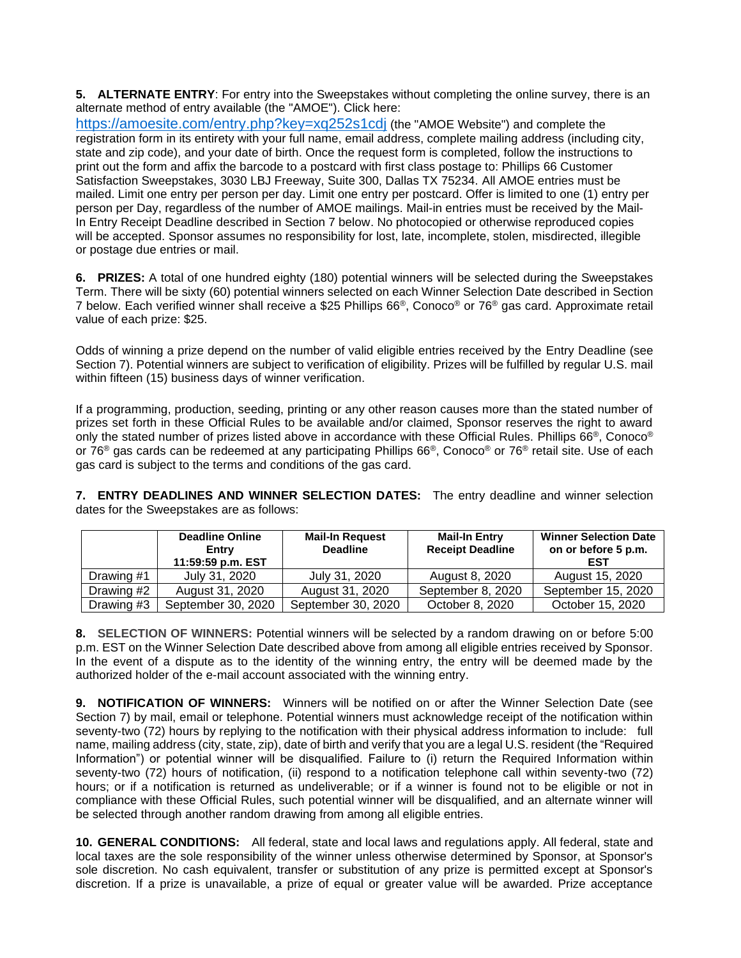**5. ALTERNATE ENTRY**: For entry into the Sweepstakes without completing the online survey, there is an alternate method of entry available (the "AMOE"). Click here:

<https://amoesite.com/entry.php?key=xq252s1cdj> (the "AMOE Website") and complete the registration form in its entirety with your full name, email address, complete mailing address (including city, state and zip code), and your date of birth. Once the request form is completed, follow the instructions to print out the form and affix the barcode to a postcard with first class postage to: Phillips 66 Customer Satisfaction Sweepstakes, 3030 LBJ Freeway, Suite 300, Dallas TX 75234. All AMOE entries must be mailed. Limit one entry per person per day. Limit one entry per postcard. Offer is limited to one (1) entry per person per Day, regardless of the number of AMOE mailings. Mail-in entries must be received by the Mail-In Entry Receipt Deadline described in Section 7 below. No photocopied or otherwise reproduced copies will be accepted. Sponsor assumes no responsibility for lost, late, incomplete, stolen, misdirected, illegible or postage due entries or mail.

**6. PRIZES:** A total of one hundred eighty (180) potential winners will be selected during the Sweepstakes Term. There will be sixty (60) potential winners selected on each Winner Selection Date described in Section 7 below. Each verified winner shall receive a \$25 Phillips 66®, Conoco® or 76® gas card. Approximate retail value of each prize: \$25.

Odds of winning a prize depend on the number of valid eligible entries received by the Entry Deadline (see Section 7). Potential winners are subject to verification of eligibility. Prizes will be fulfilled by regular U.S. mail within fifteen (15) business days of winner verification.

If a programming, production, seeding, printing or any other reason causes more than the stated number of prizes set forth in these Official Rules to be available and/or claimed, Sponsor reserves the right to award only the stated number of prizes listed above in accordance with these Official Rules. Phillips 66®, Conoco® or 76® gas cards can be redeemed at any participating Phillips 66®, Conoco® or 76® retail site. Use of each gas card is subject to the terms and conditions of the gas card.

**7. ENTRY DEADLINES AND WINNER SELECTION DATES:** The entry deadline and winner selection dates for the Sweepstakes are as follows:

|            | <b>Deadline Online</b><br>Entry<br>11:59:59 p.m. EST | <b>Mail-In Request</b><br><b>Deadline</b> | <b>Mail-In Entry</b><br><b>Receipt Deadline</b> | <b>Winner Selection Date</b><br>on or before 5 p.m.<br>EST |
|------------|------------------------------------------------------|-------------------------------------------|-------------------------------------------------|------------------------------------------------------------|
| Drawing #1 | July 31, 2020                                        | July 31, 2020                             | August 8, 2020                                  | August 15, 2020                                            |
| Drawing #2 | August 31, 2020                                      | August 31, 2020                           | September 8, 2020                               | September 15, 2020                                         |
| Drawing #3 | September 30, 2020                                   | September 30, 2020                        | October 8, 2020                                 | October 15, 2020                                           |

**8. SELECTION OF WINNERS:** Potential winners will be selected by a random drawing on or before 5:00 p.m. EST on the Winner Selection Date described above from among all eligible entries received by Sponsor. In the event of a dispute as to the identity of the winning entry, the entry will be deemed made by the authorized holder of the e-mail account associated with the winning entry.

**9. NOTIFICATION OF WINNERS:** Winners will be notified on or after the Winner Selection Date (see Section 7) by mail, email or telephone. Potential winners must acknowledge receipt of the notification within seventy-two (72) hours by replying to the notification with their physical address information to include: full name, mailing address (city, state, zip), date of birth and verify that you are a legal U.S. resident (the "Required Information") or potential winner will be disqualified. Failure to (i) return the Required Information within seventy-two (72) hours of notification, (ii) respond to a notification telephone call within seventy-two (72) hours; or if a notification is returned as undeliverable; or if a winner is found not to be eligible or not in compliance with these Official Rules, such potential winner will be disqualified, and an alternate winner will be selected through another random drawing from among all eligible entries.

**10. GENERAL CONDITIONS:** All federal, state and local laws and regulations apply. All federal, state and local taxes are the sole responsibility of the winner unless otherwise determined by Sponsor, at Sponsor's sole discretion. No cash equivalent, transfer or substitution of any prize is permitted except at Sponsor's discretion. If a prize is unavailable, a prize of equal or greater value will be awarded. Prize acceptance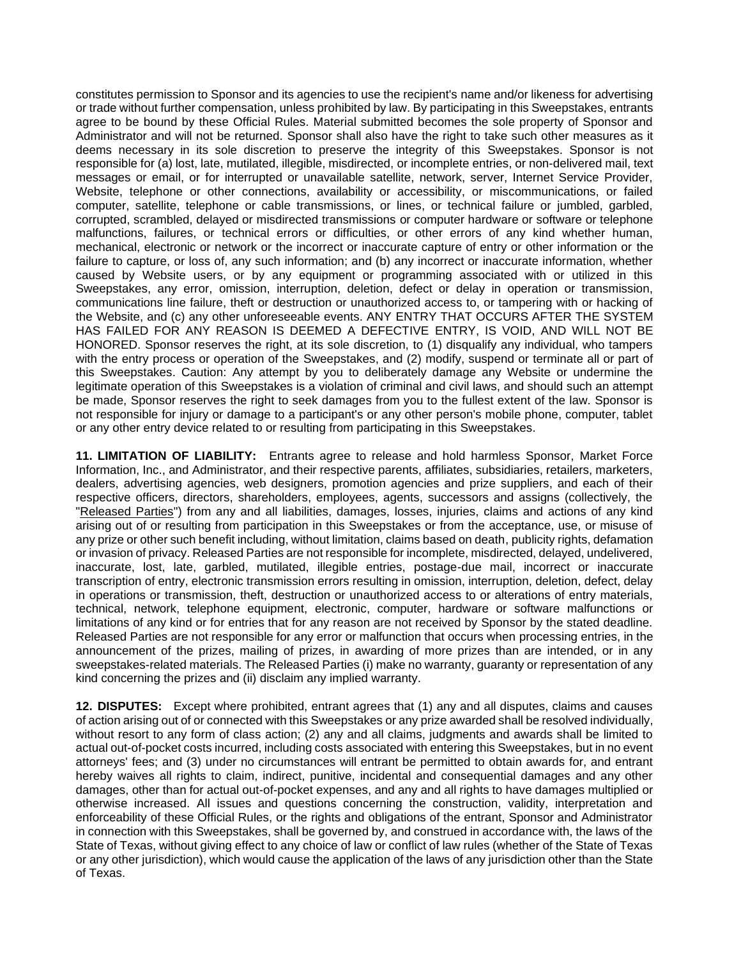constitutes permission to Sponsor and its agencies to use the recipient's name and/or likeness for advertising or trade without further compensation, unless prohibited by law. By participating in this Sweepstakes, entrants agree to be bound by these Official Rules. Material submitted becomes the sole property of Sponsor and Administrator and will not be returned. Sponsor shall also have the right to take such other measures as it deems necessary in its sole discretion to preserve the integrity of this Sweepstakes. Sponsor is not responsible for (a) lost, late, mutilated, illegible, misdirected, or incomplete entries, or non-delivered mail, text messages or email, or for interrupted or unavailable satellite, network, server, Internet Service Provider, Website, telephone or other connections, availability or accessibility, or miscommunications, or failed computer, satellite, telephone or cable transmissions, or lines, or technical failure or jumbled, garbled, corrupted, scrambled, delayed or misdirected transmissions or computer hardware or software or telephone malfunctions, failures, or technical errors or difficulties, or other errors of any kind whether human, mechanical, electronic or network or the incorrect or inaccurate capture of entry or other information or the failure to capture, or loss of, any such information; and (b) any incorrect or inaccurate information, whether caused by Website users, or by any equipment or programming associated with or utilized in this Sweepstakes, any error, omission, interruption, deletion, defect or delay in operation or transmission, communications line failure, theft or destruction or unauthorized access to, or tampering with or hacking of the Website, and (c) any other unforeseeable events. ANY ENTRY THAT OCCURS AFTER THE SYSTEM HAS FAILED FOR ANY REASON IS DEEMED A DEFECTIVE ENTRY, IS VOID, AND WILL NOT BE HONORED. Sponsor reserves the right, at its sole discretion, to (1) disqualify any individual, who tampers with the entry process or operation of the Sweepstakes, and (2) modify, suspend or terminate all or part of this Sweepstakes. Caution: Any attempt by you to deliberately damage any Website or undermine the legitimate operation of this Sweepstakes is a violation of criminal and civil laws, and should such an attempt be made, Sponsor reserves the right to seek damages from you to the fullest extent of the law. Sponsor is not responsible for injury or damage to a participant's or any other person's mobile phone, computer, tablet or any other entry device related to or resulting from participating in this Sweepstakes.

**11. LIMITATION OF LIABILITY:** Entrants agree to release and hold harmless Sponsor, Market Force Information, Inc., and Administrator, and their respective parents, affiliates, subsidiaries, retailers, marketers, dealers, advertising agencies, web designers, promotion agencies and prize suppliers, and each of their respective officers, directors, shareholders, employees, agents, successors and assigns (collectively, the "Released Parties") from any and all liabilities, damages, losses, injuries, claims and actions of any kind arising out of or resulting from participation in this Sweepstakes or from the acceptance, use, or misuse of any prize or other such benefit including, without limitation, claims based on death, publicity rights, defamation or invasion of privacy. Released Parties are not responsible for incomplete, misdirected, delayed, undelivered, inaccurate, lost, late, garbled, mutilated, illegible entries, postage-due mail, incorrect or inaccurate transcription of entry, electronic transmission errors resulting in omission, interruption, deletion, defect, delay in operations or transmission, theft, destruction or unauthorized access to or alterations of entry materials, technical, network, telephone equipment, electronic, computer, hardware or software malfunctions or limitations of any kind or for entries that for any reason are not received by Sponsor by the stated deadline. Released Parties are not responsible for any error or malfunction that occurs when processing entries, in the announcement of the prizes, mailing of prizes, in awarding of more prizes than are intended, or in any sweepstakes-related materials. The Released Parties (i) make no warranty, guaranty or representation of any kind concerning the prizes and (ii) disclaim any implied warranty.

**12. DISPUTES:** Except where prohibited, entrant agrees that (1) any and all disputes, claims and causes of action arising out of or connected with this Sweepstakes or any prize awarded shall be resolved individually, without resort to any form of class action; (2) any and all claims, judgments and awards shall be limited to actual out-of-pocket costs incurred, including costs associated with entering this Sweepstakes, but in no event attorneys' fees; and (3) under no circumstances will entrant be permitted to obtain awards for, and entrant hereby waives all rights to claim, indirect, punitive, incidental and consequential damages and any other damages, other than for actual out-of-pocket expenses, and any and all rights to have damages multiplied or otherwise increased. All issues and questions concerning the construction, validity, interpretation and enforceability of these Official Rules, or the rights and obligations of the entrant, Sponsor and Administrator in connection with this Sweepstakes, shall be governed by, and construed in accordance with, the laws of the State of Texas, without giving effect to any choice of law or conflict of law rules (whether of the State of Texas or any other jurisdiction), which would cause the application of the laws of any jurisdiction other than the State of Texas.